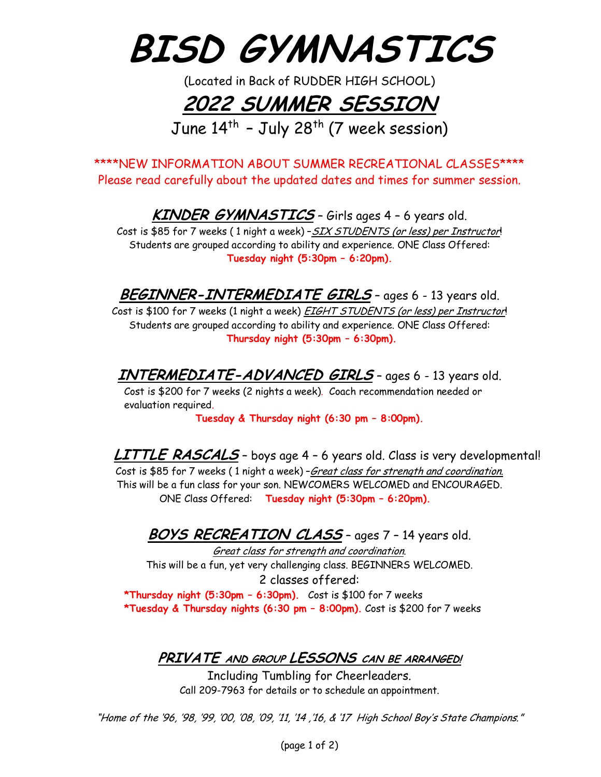**BISD GYMNASTICS**

(Located in Back of RUDDER HIGH SCHOOL)

## **2022 SUMMER SESSION**

June  $14^{th}$  - July 28<sup>th</sup> (7 week session)

\*\*\*\*NEW INFORMATION ABOUT SUMMER RECREATIONAL CLASSES\*\*\*\* Please read carefully about the updated dates and times for summer session.

**KINDER GYMNASTICS** – Girls ages 4 – 6 years old.

Cost is \$85 for 7 weeks (1 night a week) - SIX STUDENTS (or less) per Instructor! Students are grouped according to ability and experience. ONE Class Offered: **Tuesday night (5:30pm – 6:20pm).**

**BEGINNER-INTERMEDIATE GIRLS** – ages 6 - 13 years old.

Cost is \$100 for 7 weeks (1 night a week) **EIGHT STUDENTS** (or less) per Instructor! Students are grouped according to ability and experience. ONE Class Offered: **Thursday night (5:30pm – 6:30pm).**

**INTERMEDIATE-ADVANCED GIRLS** – ages 6 - 13 years old.

Cost is \$200 for 7 weeks (2 nights a week). Coach recommendation needed or evaluation required.

**Tuesday & Thursday night (6:30 pm – 8:00pm).**

**LITTLE RASCALS** – boys age 4 – 6 years old. Class is very developmental! Cost is \$85 for 7 weeks ( 1 night a week) –Great class for strength and coordination. This will be a fun class for your son. NEWCOMERS WELCOMED and ENCOURAGED. ONE Class Offered: **Tuesday night (5:30pm – 6:20pm).**

**BOYS RECREATION CLASS** – ages 7 – 14 years old.

Great class for strength and coordination. This will be a fun, yet very challenging class. BEGINNERS WELCOMED. 2 classes offered:

**\*Thursday night (5:30pm – 6:30pm).** Cost is \$100 for 7 weeks **\*Tuesday & Thursday nights (6:30 pm – 8:00pm).** Cost is \$200 for 7 weeks

**PRIVATE AND GROUP LESSONS CAN BE ARRANGED!**

Including Tumbling for Cheerleaders. Call 209-7963 for details or to schedule an appointment.

"Home of the '96, '98, '99, '00, '08, '09, '11, '14 ,'16, & '17 High School Boy's State Champions."